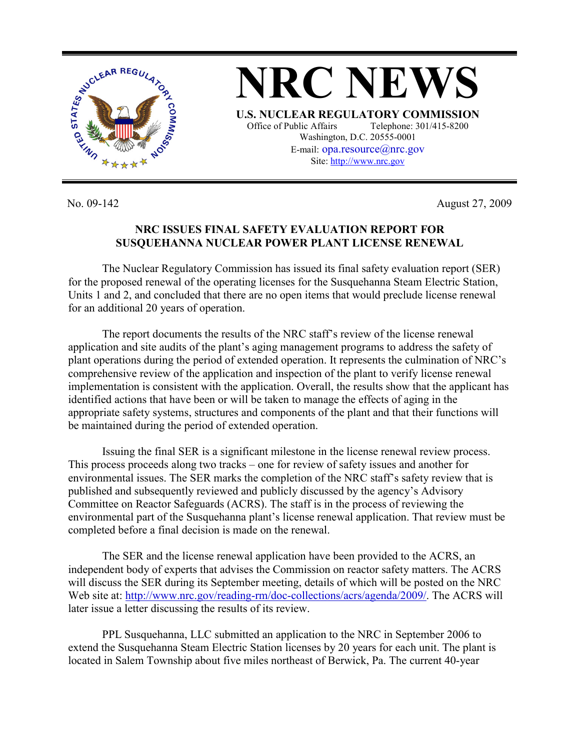

**NRC NEWS U.S. NUCLEAR REGULATORY COMMISSION** Office of Public Affairs Telephone: 301/415-8200 Washington, D.C. 20555-0001 E-mail: opa.resource@nrc.gov Site: http://www.nrc.gov

No. 09-142 August 27, 2009

## **NRC ISSUES FINAL SAFETY EVALUATION REPORT FOR SUSQUEHANNA NUCLEAR POWER PLANT LICENSE RENEWAL**

 The Nuclear Regulatory Commission has issued its final safety evaluation report (SER) for the proposed renewal of the operating licenses for the Susquehanna Steam Electric Station, Units 1 and 2, and concluded that there are no open items that would preclude license renewal for an additional 20 years of operation.

 The report documents the results of the NRC staff's review of the license renewal application and site audits of the plant's aging management programs to address the safety of plant operations during the period of extended operation. It represents the culmination of NRC's comprehensive review of the application and inspection of the plant to verify license renewal implementation is consistent with the application. Overall, the results show that the applicant has identified actions that have been or will be taken to manage the effects of aging in the appropriate safety systems, structures and components of the plant and that their functions will be maintained during the period of extended operation.

 Issuing the final SER is a significant milestone in the license renewal review process. This process proceeds along two tracks – one for review of safety issues and another for environmental issues. The SER marks the completion of the NRC staff's safety review that is published and subsequently reviewed and publicly discussed by the agency's Advisory Committee on Reactor Safeguards (ACRS). The staff is in the process of reviewing the environmental part of the Susquehanna plant's license renewal application. That review must be completed before a final decision is made on the renewal.

 The SER and the license renewal application have been provided to the ACRS, an independent body of experts that advises the Commission on reactor safety matters. The ACRS will discuss the SER during its September meeting, details of which will be posted on the NRC Web site at: http://www.nrc.gov/reading-rm/doc-collections/acrs/agenda/2009/. The ACRS will later issue a letter discussing the results of its review.

 PPL Susquehanna, LLC submitted an application to the NRC in September 2006 to extend the Susquehanna Steam Electric Station licenses by 20 years for each unit. The plant is located in Salem Township about five miles northeast of Berwick, Pa. The current 40-year